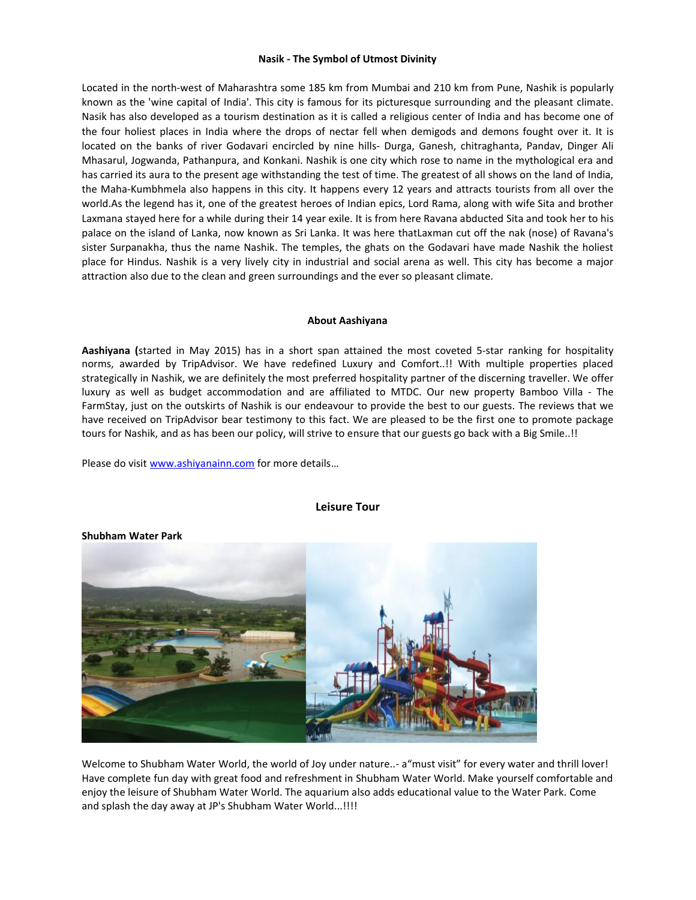### **Nasik - The Symbol of Utmost Divinity**

Located in the north-west of Maharashtra some 185 km from Mumbai and 210 km from Pune, Nashik is popularly known as the 'wine capital of India'. This city is famous for its picturesque surrounding and the pleasant climate. Nasik has also developed as a tourism destination as it is called a religious center of India and has become one of the four holiest places in India where the drops of nectar fell when demigods and demons fought over it. It is located on the banks of river Godavari encircled by nine hills- Durga, Ganesh, chitraghanta, Pandav, Dinger Ali Mhasarul, Jogwanda, Pathanpura, and Konkani. Nashik is one city which rose to name in the mythological era and has carried its aura to the present age withstanding the test of time. The greatest of all shows on the land of India, the Maha-Kumbhmela also happens in this city. It happens every 12 years and attracts tourists from all over the world.As the legend has it, one of the greatest heroes of Indian epics, Lord Rama, along with wife Sita and brother Laxmana stayed here for a while during their 14 year exile. It is from here Ravana abducted Sita and took her to his palace on the island of Lanka, now known as Sri Lanka. It was here thatLaxman cut off the nak (nose) of Ravana's sister Surpanakha, thus the name Nashik. The temples, the ghats on the Godavari have made Nashik the holiest place for Hindus. Nashik is a very lively city in industrial and social arena as well. This city has become a major attraction also due to the clean and green surroundings and the ever so pleasant climate.

#### **About Aashiyana**

**Aashiyana (**started in May 2015) has in a short span attained the most coveted 5-star ranking for hospitality norms, awarded by TripAdvisor. We have redefined Luxury and Comfort..!! With multiple properties placed strategically in Nashik, we are definitely the most preferred hospitality partner of the discerning traveller. We offer luxury as well as budget accommodation and are affiliated to MTDC. Our new property Bamboo Villa - The FarmStay, just on the outskirts of Nashik is our endeavour to provide the best to our guests. The reviews that we have received on TripAdvisor bear testimony to this fact. We are pleased to be the first one to promote package tours for Nashik, and as has been our policy, will strive to ensure that our guests go back with a Big Smile..!!

Please do visit [www.ashiyanainn.com](http://www.ashiyanainn.com/) for more details…



## **Leisure Tour**

Welcome to Shubham Water World, the world of Joy under nature..- a"must visit" for every water and thrill lover! Have complete fun day with great food and refreshment in Shubham Water World. Make yourself comfortable and enjoy the leisure of Shubham Water World. The aquarium also adds educational value to the Water Park. Come and splash the day away at JP's Shubham Water World...!!!!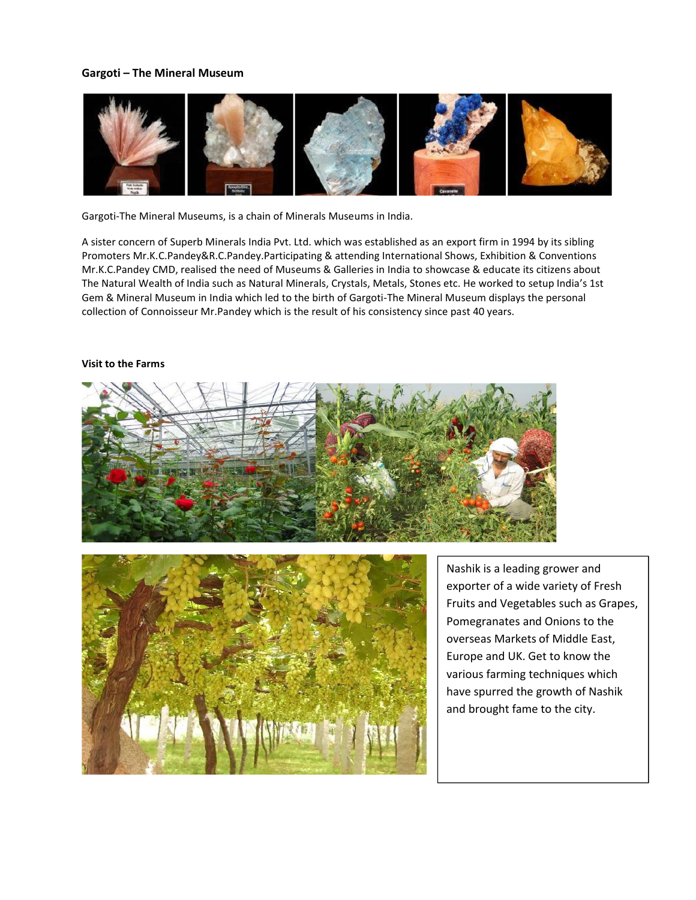# **Gargoti – The Mineral Museum**



Gargoti-The Mineral Museums, is a chain of Minerals Museums in India.

A sister concern of Superb Minerals India Pvt. Ltd. which was established as an export firm in 1994 by its sibling Promoters Mr.K.C.Pandey&R.C.Pandey.Participating & attending International Shows, Exhibition & Conventions Mr.K.C.Pandey CMD, realised the need of Museums & Galleries in India to showcase & educate its citizens about The Natural Wealth of India such as Natural Minerals, Crystals, Metals, Stones etc. He worked to setup India's 1st Gem & Mineral Museum in India which led to the birth of Gargoti-The Mineral Museum displays the personal collection of Connoisseur Mr.Pandey which is the result of his consistency since past 40 years.

## **Visit to the Farms**





Nashik is a leading grower and exporter of a wide variety of Fresh Fruits and Vegetables such as Grapes, Pomegranates and Onions to the overseas Markets of Middle East, Europe and UK. Get to know the various farming techniques which have spurred the growth of Nashik and brought fame to the city.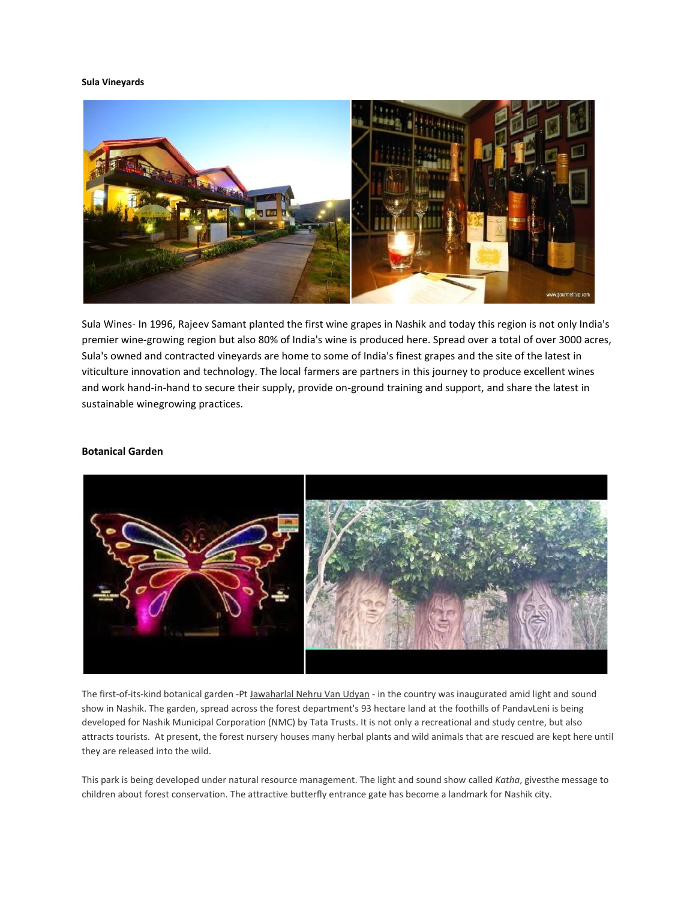#### **Sula Vineyards**



Sula Wines- In 1996, Rajeev Samant planted the first wine grapes in Nashik and today this region is not only India's premier wine-growing region but also 80% of India's wine is produced here. Spread over a total of over 3000 acres, Sula's owned and contracted vineyards are home to some of India's finest grapes and the site of the latest in viticulture innovation and technology. The local farmers are partners in this journey to produce excellent wines and work hand-in-hand to secure their supply, provide on-ground training and support, and share the latest in sustainable winegrowing practices.

## **Botanical Garden**



The first-of-its-kind botanical garden -Pt [Jawaharlal Nehru Van Udyan -](http://timesofindia.indiatimes.com/topic/Jawaharlal-Nehru-Van-Udyan) in the country was inaugurated amid light and sound show in Nashik. The garden, spread across the forest department's 93 hectare land at the foothills of PandavLeni is being developed for Nashik Municipal Corporation (NMC) by Tata Trusts. It is not only a recreational and study centre, but also attracts tourists. At present, the forest nursery houses many herbal plants and wild animals that are rescued are kept here until they are released into the wild.

This park is being developed under natural resource management. The light and sound show called *Katha*, givesthe message to children about forest conservation. The attractive butterfly entrance gate has become a landmark for Nashik city.